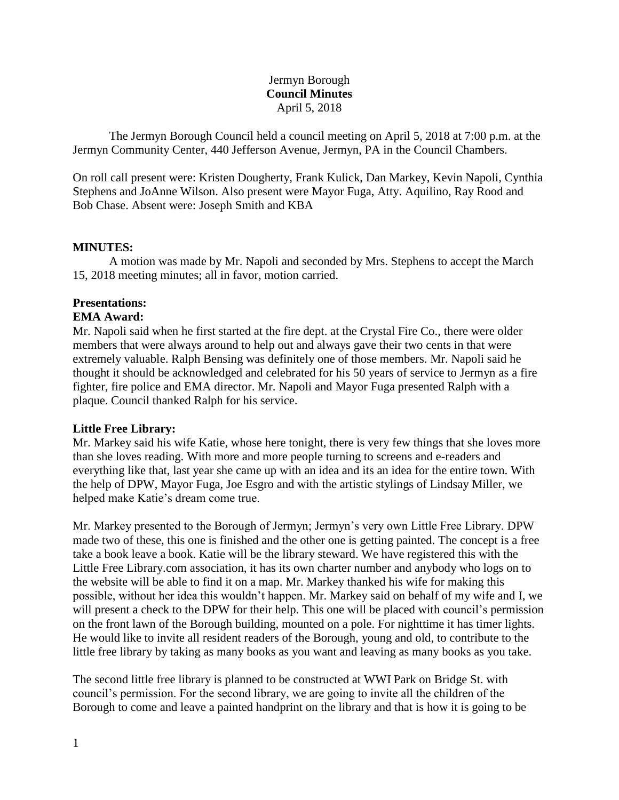## Jermyn Borough **Council Minutes** April 5, 2018

The Jermyn Borough Council held a council meeting on April 5, 2018 at 7:00 p.m. at the Jermyn Community Center, 440 Jefferson Avenue, Jermyn, PA in the Council Chambers.

On roll call present were: Kristen Dougherty, Frank Kulick, Dan Markey, Kevin Napoli, Cynthia Stephens and JoAnne Wilson. Also present were Mayor Fuga, Atty. Aquilino, Ray Rood and Bob Chase. Absent were: Joseph Smith and KBA

### **MINUTES:**

A motion was made by Mr. Napoli and seconded by Mrs. Stephens to accept the March 15, 2018 meeting minutes; all in favor, motion carried.

### **Presentations:**

#### **EMA Award:**

Mr. Napoli said when he first started at the fire dept. at the Crystal Fire Co., there were older members that were always around to help out and always gave their two cents in that were extremely valuable. Ralph Bensing was definitely one of those members. Mr. Napoli said he thought it should be acknowledged and celebrated for his 50 years of service to Jermyn as a fire fighter, fire police and EMA director. Mr. Napoli and Mayor Fuga presented Ralph with a plaque. Council thanked Ralph for his service.

#### **Little Free Library:**

Mr. Markey said his wife Katie, whose here tonight, there is very few things that she loves more than she loves reading. With more and more people turning to screens and e-readers and everything like that, last year she came up with an idea and its an idea for the entire town. With the help of DPW, Mayor Fuga, Joe Esgro and with the artistic stylings of Lindsay Miller, we helped make Katie's dream come true.

Mr. Markey presented to the Borough of Jermyn; Jermyn's very own Little Free Library. DPW made two of these, this one is finished and the other one is getting painted. The concept is a free take a book leave a book. Katie will be the library steward. We have registered this with the Little Free Library.com association, it has its own charter number and anybody who logs on to the website will be able to find it on a map. Mr. Markey thanked his wife for making this possible, without her idea this wouldn't happen. Mr. Markey said on behalf of my wife and I, we will present a check to the DPW for their help. This one will be placed with council's permission on the front lawn of the Borough building, mounted on a pole. For nighttime it has timer lights. He would like to invite all resident readers of the Borough, young and old, to contribute to the little free library by taking as many books as you want and leaving as many books as you take.

The second little free library is planned to be constructed at WWI Park on Bridge St. with council's permission. For the second library, we are going to invite all the children of the Borough to come and leave a painted handprint on the library and that is how it is going to be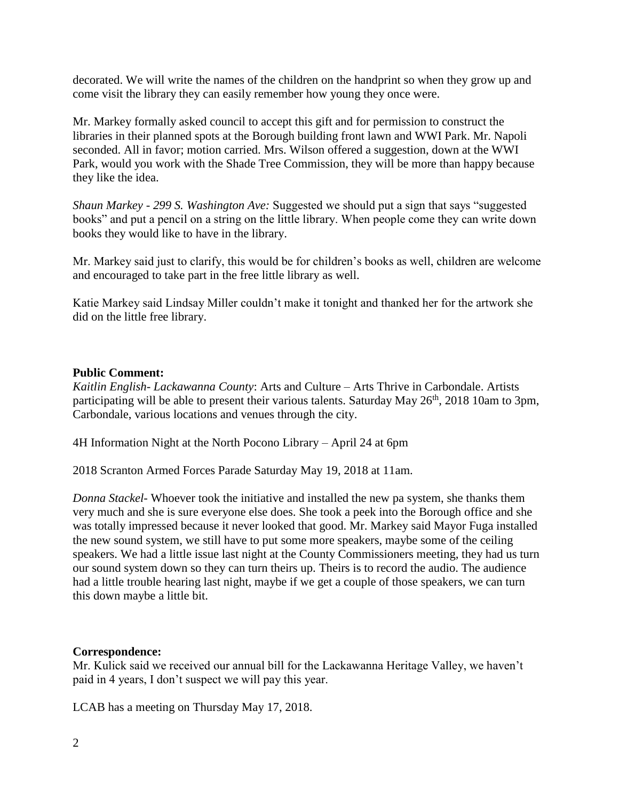decorated. We will write the names of the children on the handprint so when they grow up and come visit the library they can easily remember how young they once were.

Mr. Markey formally asked council to accept this gift and for permission to construct the libraries in their planned spots at the Borough building front lawn and WWI Park. Mr. Napoli seconded. All in favor; motion carried. Mrs. Wilson offered a suggestion, down at the WWI Park, would you work with the Shade Tree Commission, they will be more than happy because they like the idea.

*Shaun Markey - 299 S. Washington Ave:* Suggested we should put a sign that says "suggested books" and put a pencil on a string on the little library. When people come they can write down books they would like to have in the library.

Mr. Markey said just to clarify, this would be for children's books as well, children are welcome and encouraged to take part in the free little library as well.

Katie Markey said Lindsay Miller couldn't make it tonight and thanked her for the artwork she did on the little free library.

## **Public Comment:**

*Kaitlin English- Lackawanna County*: Arts and Culture – Arts Thrive in Carbondale. Artists participating will be able to present their various talents. Saturday May 26<sup>th</sup>, 2018 10am to 3pm, Carbondale, various locations and venues through the city.

4H Information Night at the North Pocono Library – April 24 at 6pm

2018 Scranton Armed Forces Parade Saturday May 19, 2018 at 11am.

*Donna Stackel-* Whoever took the initiative and installed the new pa system, she thanks them very much and she is sure everyone else does. She took a peek into the Borough office and she was totally impressed because it never looked that good. Mr. Markey said Mayor Fuga installed the new sound system, we still have to put some more speakers, maybe some of the ceiling speakers. We had a little issue last night at the County Commissioners meeting, they had us turn our sound system down so they can turn theirs up. Theirs is to record the audio. The audience had a little trouble hearing last night, maybe if we get a couple of those speakers, we can turn this down maybe a little bit.

### **Correspondence:**

Mr. Kulick said we received our annual bill for the Lackawanna Heritage Valley, we haven't paid in 4 years, I don't suspect we will pay this year.

LCAB has a meeting on Thursday May 17, 2018.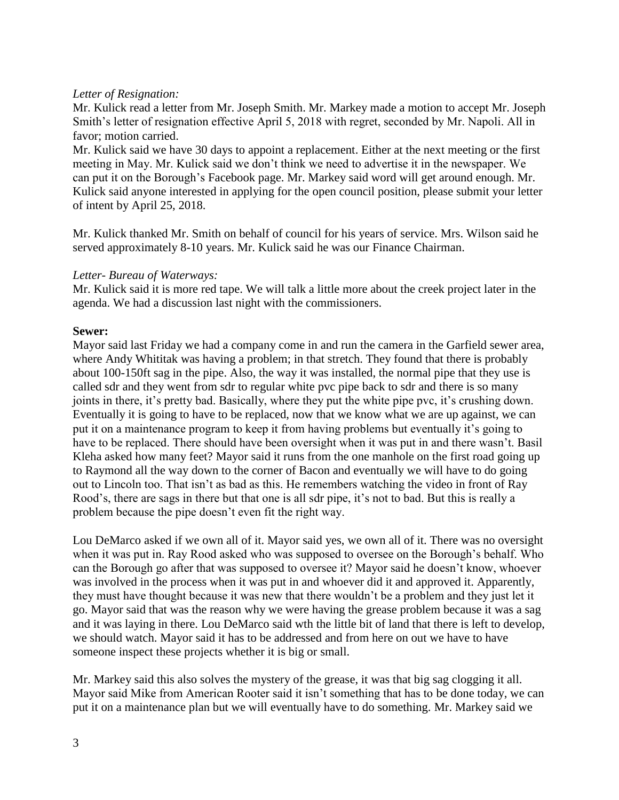## *Letter of Resignation:*

Mr. Kulick read a letter from Mr. Joseph Smith. Mr. Markey made a motion to accept Mr. Joseph Smith's letter of resignation effective April 5, 2018 with regret, seconded by Mr. Napoli. All in favor; motion carried.

Mr. Kulick said we have 30 days to appoint a replacement. Either at the next meeting or the first meeting in May. Mr. Kulick said we don't think we need to advertise it in the newspaper. We can put it on the Borough's Facebook page. Mr. Markey said word will get around enough. Mr. Kulick said anyone interested in applying for the open council position, please submit your letter of intent by April 25, 2018.

Mr. Kulick thanked Mr. Smith on behalf of council for his years of service. Mrs. Wilson said he served approximately 8-10 years. Mr. Kulick said he was our Finance Chairman.

## *Letter- Bureau of Waterways:*

Mr. Kulick said it is more red tape. We will talk a little more about the creek project later in the agenda. We had a discussion last night with the commissioners.

# **Sewer:**

Mayor said last Friday we had a company come in and run the camera in the Garfield sewer area, where Andy Whititak was having a problem; in that stretch. They found that there is probably about 100-150ft sag in the pipe. Also, the way it was installed, the normal pipe that they use is called sdr and they went from sdr to regular white pvc pipe back to sdr and there is so many joints in there, it's pretty bad. Basically, where they put the white pipe pvc, it's crushing down. Eventually it is going to have to be replaced, now that we know what we are up against, we can put it on a maintenance program to keep it from having problems but eventually it's going to have to be replaced. There should have been oversight when it was put in and there wasn't. Basil Kleha asked how many feet? Mayor said it runs from the one manhole on the first road going up to Raymond all the way down to the corner of Bacon and eventually we will have to do going out to Lincoln too. That isn't as bad as this. He remembers watching the video in front of Ray Rood's, there are sags in there but that one is all sdr pipe, it's not to bad. But this is really a problem because the pipe doesn't even fit the right way.

Lou DeMarco asked if we own all of it. Mayor said yes, we own all of it. There was no oversight when it was put in. Ray Rood asked who was supposed to oversee on the Borough's behalf. Who can the Borough go after that was supposed to oversee it? Mayor said he doesn't know, whoever was involved in the process when it was put in and whoever did it and approved it. Apparently, they must have thought because it was new that there wouldn't be a problem and they just let it go. Mayor said that was the reason why we were having the grease problem because it was a sag and it was laying in there. Lou DeMarco said wth the little bit of land that there is left to develop, we should watch. Mayor said it has to be addressed and from here on out we have to have someone inspect these projects whether it is big or small.

Mr. Markey said this also solves the mystery of the grease, it was that big sag clogging it all. Mayor said Mike from American Rooter said it isn't something that has to be done today, we can put it on a maintenance plan but we will eventually have to do something. Mr. Markey said we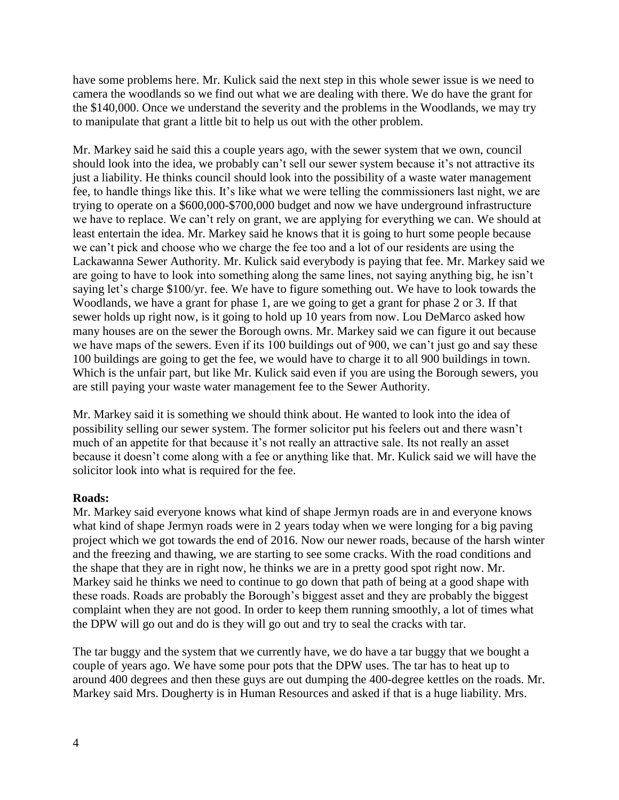have some problems here. Mr. Kulick said the next step in this whole sewer issue is we need to camera the woodlands so we find out what we are dealing with there. We do have the grant for the \$140,000. Once we understand the severity and the problems in the Woodlands, we may try to manipulate that grant a little bit to help us out with the other problem.

Mr. Markey said he said this a couple years ago, with the sewer system that we own, council should look into the idea, we probably can't sell our sewer system because it's not attractive its just a liability. He thinks council should look into the possibility of a waste water management fee, to handle things like this. It's like what we were telling the commissioners last night, we are trying to operate on a \$600,000-\$700,000 budget and now we have underground infrastructure we have to replace. We can't rely on grant, we are applying for everything we can. We should at least entertain the idea. Mr. Markey said he knows that it is going to hurt some people because we can't pick and choose who we charge the fee too and a lot of our residents are using the Lackawanna Sewer Authority. Mr. Kulick said everybody is paying that fee. Mr. Markey said we are going to have to look into something along the same lines, not saying anything big, he isn't saying let's charge \$100/yr. fee. We have to figure something out. We have to look towards the Woodlands, we have a grant for phase 1, are we going to get a grant for phase 2 or 3. If that sewer holds up right now, is it going to hold up 10 years from now. Lou DeMarco asked how many houses are on the sewer the Borough owns. Mr. Markey said we can figure it out because we have maps of the sewers. Even if its 100 buildings out of 900, we can't just go and say these 100 buildings are going to get the fee, we would have to charge it to all 900 buildings in town. Which is the unfair part, but like Mr. Kulick said even if you are using the Borough sewers, you are still paying your waste water management fee to the Sewer Authority.

Mr. Markey said it is something we should think about. He wanted to look into the idea of possibility selling our sewer system. The former solicitor put his feelers out and there wasn't much of an appetite for that because it's not really an attractive sale. Its not really an asset because it doesn't come along with a fee or anything like that. Mr. Kulick said we will have the solicitor look into what is required for the fee.

#### **Roads:**

Mr. Markey said everyone knows what kind of shape Jermyn roads are in and everyone knows what kind of shape Jermyn roads were in 2 years today when we were longing for a big paving project which we got towards the end of 2016. Now our newer roads, because of the harsh winter and the freezing and thawing, we are starting to see some cracks. With the road conditions and the shape that they are in right now, he thinks we are in a pretty good spot right now. Mr. Markey said he thinks we need to continue to go down that path of being at a good shape with these roads. Roads are probably the Borough's biggest asset and they are probably the biggest complaint when they are not good. In order to keep them running smoothly, a lot of times what the DPW will go out and do is they will go out and try to seal the cracks with tar.

The tar buggy and the system that we currently have, we do have a tar buggy that we bought a couple of years ago. We have some pour pots that the DPW uses. The tar has to heat up to around 400 degrees and then these guys are out dumping the 400-degree kettles on the roads. Mr. Markey said Mrs. Dougherty is in Human Resources and asked if that is a huge liability. Mrs.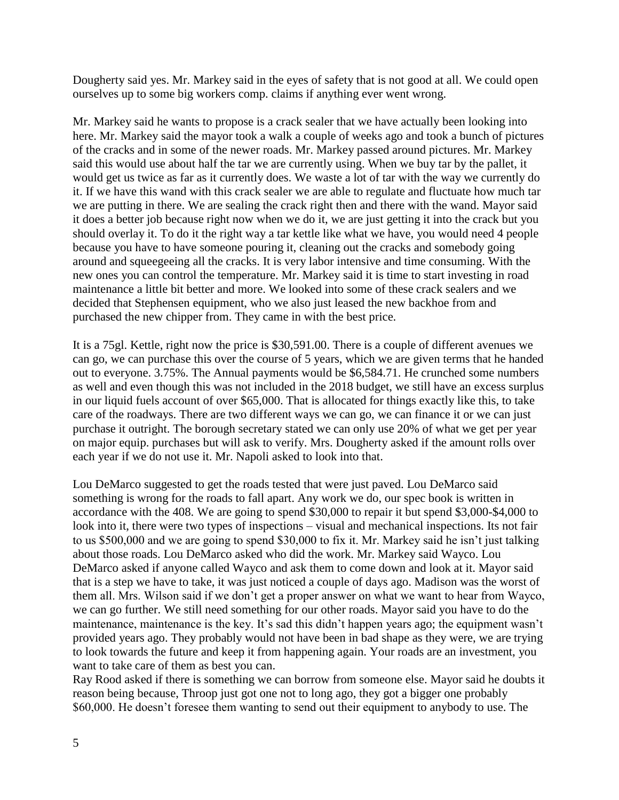Dougherty said yes. Mr. Markey said in the eyes of safety that is not good at all. We could open ourselves up to some big workers comp. claims if anything ever went wrong.

Mr. Markey said he wants to propose is a crack sealer that we have actually been looking into here. Mr. Markey said the mayor took a walk a couple of weeks ago and took a bunch of pictures of the cracks and in some of the newer roads. Mr. Markey passed around pictures. Mr. Markey said this would use about half the tar we are currently using. When we buy tar by the pallet, it would get us twice as far as it currently does. We waste a lot of tar with the way we currently do it. If we have this wand with this crack sealer we are able to regulate and fluctuate how much tar we are putting in there. We are sealing the crack right then and there with the wand. Mayor said it does a better job because right now when we do it, we are just getting it into the crack but you should overlay it. To do it the right way a tar kettle like what we have, you would need 4 people because you have to have someone pouring it, cleaning out the cracks and somebody going around and squeegeeing all the cracks. It is very labor intensive and time consuming. With the new ones you can control the temperature. Mr. Markey said it is time to start investing in road maintenance a little bit better and more. We looked into some of these crack sealers and we decided that Stephensen equipment, who we also just leased the new backhoe from and purchased the new chipper from. They came in with the best price.

It is a 75gl. Kettle, right now the price is \$30,591.00. There is a couple of different avenues we can go, we can purchase this over the course of 5 years, which we are given terms that he handed out to everyone. 3.75%. The Annual payments would be \$6,584.71. He crunched some numbers as well and even though this was not included in the 2018 budget, we still have an excess surplus in our liquid fuels account of over \$65,000. That is allocated for things exactly like this, to take care of the roadways. There are two different ways we can go, we can finance it or we can just purchase it outright. The borough secretary stated we can only use 20% of what we get per year on major equip. purchases but will ask to verify. Mrs. Dougherty asked if the amount rolls over each year if we do not use it. Mr. Napoli asked to look into that.

Lou DeMarco suggested to get the roads tested that were just paved. Lou DeMarco said something is wrong for the roads to fall apart. Any work we do, our spec book is written in accordance with the 408. We are going to spend \$30,000 to repair it but spend \$3,000-\$4,000 to look into it, there were two types of inspections – visual and mechanical inspections. Its not fair to us \$500,000 and we are going to spend \$30,000 to fix it. Mr. Markey said he isn't just talking about those roads. Lou DeMarco asked who did the work. Mr. Markey said Wayco. Lou DeMarco asked if anyone called Wayco and ask them to come down and look at it. Mayor said that is a step we have to take, it was just noticed a couple of days ago. Madison was the worst of them all. Mrs. Wilson said if we don't get a proper answer on what we want to hear from Wayco, we can go further. We still need something for our other roads. Mayor said you have to do the maintenance, maintenance is the key. It's sad this didn't happen years ago; the equipment wasn't provided years ago. They probably would not have been in bad shape as they were, we are trying to look towards the future and keep it from happening again. Your roads are an investment, you want to take care of them as best you can.

Ray Rood asked if there is something we can borrow from someone else. Mayor said he doubts it reason being because, Throop just got one not to long ago, they got a bigger one probably \$60,000. He doesn't foresee them wanting to send out their equipment to anybody to use. The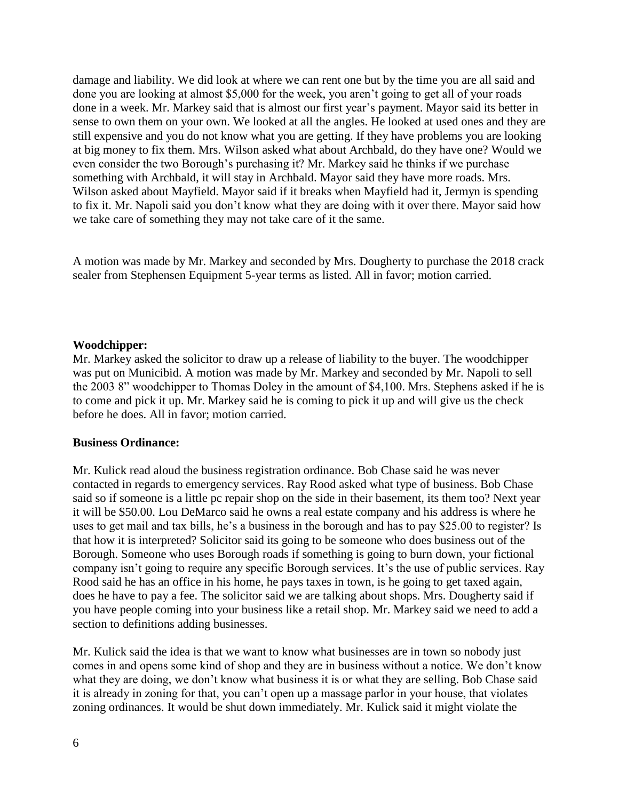damage and liability. We did look at where we can rent one but by the time you are all said and done you are looking at almost \$5,000 for the week, you aren't going to get all of your roads done in a week. Mr. Markey said that is almost our first year's payment. Mayor said its better in sense to own them on your own. We looked at all the angles. He looked at used ones and they are still expensive and you do not know what you are getting. If they have problems you are looking at big money to fix them. Mrs. Wilson asked what about Archbald, do they have one? Would we even consider the two Borough's purchasing it? Mr. Markey said he thinks if we purchase something with Archbald, it will stay in Archbald. Mayor said they have more roads. Mrs. Wilson asked about Mayfield. Mayor said if it breaks when Mayfield had it, Jermyn is spending to fix it. Mr. Napoli said you don't know what they are doing with it over there. Mayor said how we take care of something they may not take care of it the same.

A motion was made by Mr. Markey and seconded by Mrs. Dougherty to purchase the 2018 crack sealer from Stephensen Equipment 5-year terms as listed. All in favor; motion carried.

#### **Woodchipper:**

Mr. Markey asked the solicitor to draw up a release of liability to the buyer. The woodchipper was put on Municibid. A motion was made by Mr. Markey and seconded by Mr. Napoli to sell the 2003 8" woodchipper to Thomas Doley in the amount of \$4,100. Mrs. Stephens asked if he is to come and pick it up. Mr. Markey said he is coming to pick it up and will give us the check before he does. All in favor; motion carried.

#### **Business Ordinance:**

Mr. Kulick read aloud the business registration ordinance. Bob Chase said he was never contacted in regards to emergency services. Ray Rood asked what type of business. Bob Chase said so if someone is a little pc repair shop on the side in their basement, its them too? Next year it will be \$50.00. Lou DeMarco said he owns a real estate company and his address is where he uses to get mail and tax bills, he's a business in the borough and has to pay \$25.00 to register? Is that how it is interpreted? Solicitor said its going to be someone who does business out of the Borough. Someone who uses Borough roads if something is going to burn down, your fictional company isn't going to require any specific Borough services. It's the use of public services. Ray Rood said he has an office in his home, he pays taxes in town, is he going to get taxed again, does he have to pay a fee. The solicitor said we are talking about shops. Mrs. Dougherty said if you have people coming into your business like a retail shop. Mr. Markey said we need to add a section to definitions adding businesses.

Mr. Kulick said the idea is that we want to know what businesses are in town so nobody just comes in and opens some kind of shop and they are in business without a notice. We don't know what they are doing, we don't know what business it is or what they are selling. Bob Chase said it is already in zoning for that, you can't open up a massage parlor in your house, that violates zoning ordinances. It would be shut down immediately. Mr. Kulick said it might violate the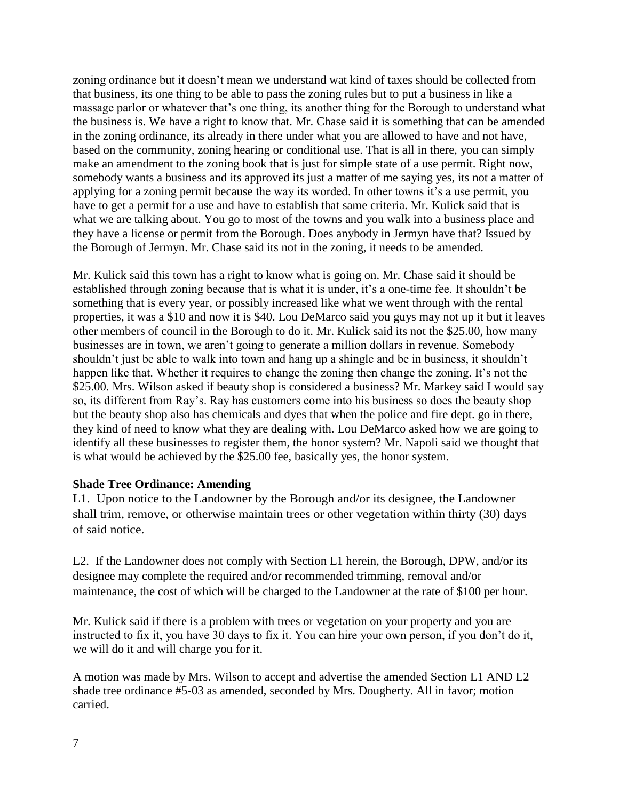zoning ordinance but it doesn't mean we understand wat kind of taxes should be collected from that business, its one thing to be able to pass the zoning rules but to put a business in like a massage parlor or whatever that's one thing, its another thing for the Borough to understand what the business is. We have a right to know that. Mr. Chase said it is something that can be amended in the zoning ordinance, its already in there under what you are allowed to have and not have, based on the community, zoning hearing or conditional use. That is all in there, you can simply make an amendment to the zoning book that is just for simple state of a use permit. Right now, somebody wants a business and its approved its just a matter of me saying yes, its not a matter of applying for a zoning permit because the way its worded. In other towns it's a use permit, you have to get a permit for a use and have to establish that same criteria. Mr. Kulick said that is what we are talking about. You go to most of the towns and you walk into a business place and they have a license or permit from the Borough. Does anybody in Jermyn have that? Issued by the Borough of Jermyn. Mr. Chase said its not in the zoning, it needs to be amended.

Mr. Kulick said this town has a right to know what is going on. Mr. Chase said it should be established through zoning because that is what it is under, it's a one-time fee. It shouldn't be something that is every year, or possibly increased like what we went through with the rental properties, it was a \$10 and now it is \$40. Lou DeMarco said you guys may not up it but it leaves other members of council in the Borough to do it. Mr. Kulick said its not the \$25.00, how many businesses are in town, we aren't going to generate a million dollars in revenue. Somebody shouldn't just be able to walk into town and hang up a shingle and be in business, it shouldn't happen like that. Whether it requires to change the zoning then change the zoning. It's not the \$25.00. Mrs. Wilson asked if beauty shop is considered a business? Mr. Markey said I would say so, its different from Ray's. Ray has customers come into his business so does the beauty shop but the beauty shop also has chemicals and dyes that when the police and fire dept. go in there, they kind of need to know what they are dealing with. Lou DeMarco asked how we are going to identify all these businesses to register them, the honor system? Mr. Napoli said we thought that is what would be achieved by the \$25.00 fee, basically yes, the honor system.

# **Shade Tree Ordinance: Amending**

L1. Upon notice to the Landowner by the Borough and/or its designee, the Landowner shall trim, remove, or otherwise maintain trees or other vegetation within thirty (30) days of said notice.

L2. If the Landowner does not comply with Section L1 herein, the Borough, DPW, and/or its designee may complete the required and/or recommended trimming, removal and/or maintenance, the cost of which will be charged to the Landowner at the rate of \$100 per hour.

Mr. Kulick said if there is a problem with trees or vegetation on your property and you are instructed to fix it, you have 30 days to fix it. You can hire your own person, if you don't do it, we will do it and will charge you for it.

A motion was made by Mrs. Wilson to accept and advertise the amended Section L1 AND L2 shade tree ordinance #5-03 as amended, seconded by Mrs. Dougherty. All in favor; motion carried.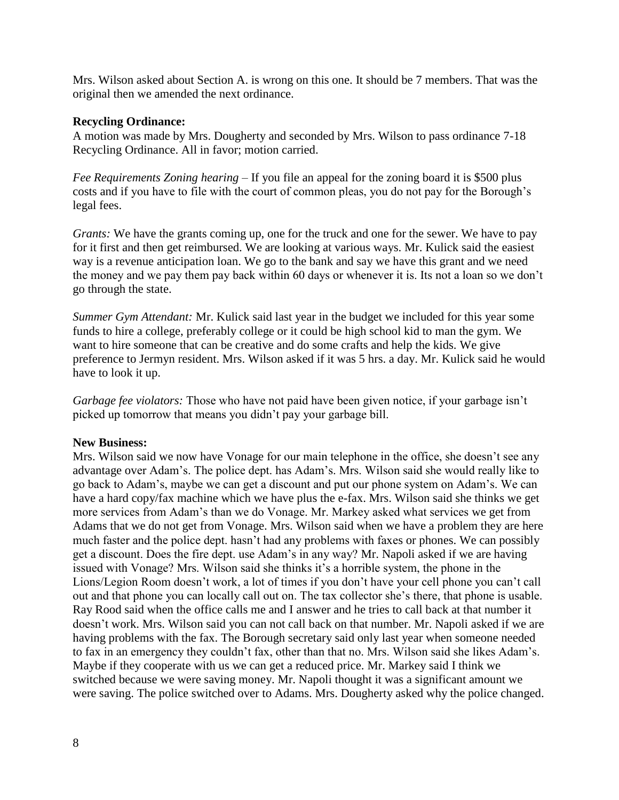Mrs. Wilson asked about Section A. is wrong on this one. It should be 7 members. That was the original then we amended the next ordinance.

### **Recycling Ordinance:**

A motion was made by Mrs. Dougherty and seconded by Mrs. Wilson to pass ordinance 7-18 Recycling Ordinance. All in favor; motion carried.

*Fee Requirements Zoning hearing –* If you file an appeal for the zoning board it is \$500 plus costs and if you have to file with the court of common pleas, you do not pay for the Borough's legal fees.

*Grants:* We have the grants coming up, one for the truck and one for the sewer. We have to pay for it first and then get reimbursed. We are looking at various ways. Mr. Kulick said the easiest way is a revenue anticipation loan. We go to the bank and say we have this grant and we need the money and we pay them pay back within 60 days or whenever it is. Its not a loan so we don't go through the state.

*Summer Gym Attendant:* Mr. Kulick said last year in the budget we included for this year some funds to hire a college, preferably college or it could be high school kid to man the gym. We want to hire someone that can be creative and do some crafts and help the kids. We give preference to Jermyn resident. Mrs. Wilson asked if it was 5 hrs. a day. Mr. Kulick said he would have to look it up.

*Garbage fee violators:* Those who have not paid have been given notice, if your garbage isn't picked up tomorrow that means you didn't pay your garbage bill.

### **New Business:**

Mrs. Wilson said we now have Vonage for our main telephone in the office, she doesn't see any advantage over Adam's. The police dept. has Adam's. Mrs. Wilson said she would really like to go back to Adam's, maybe we can get a discount and put our phone system on Adam's. We can have a hard copy/fax machine which we have plus the e-fax. Mrs. Wilson said she thinks we get more services from Adam's than we do Vonage. Mr. Markey asked what services we get from Adams that we do not get from Vonage. Mrs. Wilson said when we have a problem they are here much faster and the police dept. hasn't had any problems with faxes or phones. We can possibly get a discount. Does the fire dept. use Adam's in any way? Mr. Napoli asked if we are having issued with Vonage? Mrs. Wilson said she thinks it's a horrible system, the phone in the Lions/Legion Room doesn't work, a lot of times if you don't have your cell phone you can't call out and that phone you can locally call out on. The tax collector she's there, that phone is usable. Ray Rood said when the office calls me and I answer and he tries to call back at that number it doesn't work. Mrs. Wilson said you can not call back on that number. Mr. Napoli asked if we are having problems with the fax. The Borough secretary said only last year when someone needed to fax in an emergency they couldn't fax, other than that no. Mrs. Wilson said she likes Adam's. Maybe if they cooperate with us we can get a reduced price. Mr. Markey said I think we switched because we were saving money. Mr. Napoli thought it was a significant amount we were saving. The police switched over to Adams. Mrs. Dougherty asked why the police changed.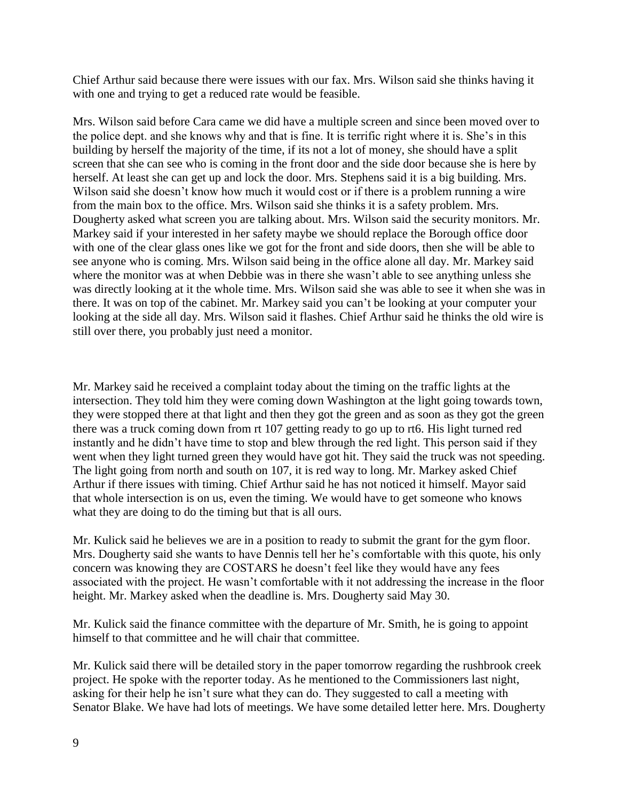Chief Arthur said because there were issues with our fax. Mrs. Wilson said she thinks having it with one and trying to get a reduced rate would be feasible.

Mrs. Wilson said before Cara came we did have a multiple screen and since been moved over to the police dept. and she knows why and that is fine. It is terrific right where it is. She's in this building by herself the majority of the time, if its not a lot of money, she should have a split screen that she can see who is coming in the front door and the side door because she is here by herself. At least she can get up and lock the door. Mrs. Stephens said it is a big building. Mrs. Wilson said she doesn't know how much it would cost or if there is a problem running a wire from the main box to the office. Mrs. Wilson said she thinks it is a safety problem. Mrs. Dougherty asked what screen you are talking about. Mrs. Wilson said the security monitors. Mr. Markey said if your interested in her safety maybe we should replace the Borough office door with one of the clear glass ones like we got for the front and side doors, then she will be able to see anyone who is coming. Mrs. Wilson said being in the office alone all day. Mr. Markey said where the monitor was at when Debbie was in there she wasn't able to see anything unless she was directly looking at it the whole time. Mrs. Wilson said she was able to see it when she was in there. It was on top of the cabinet. Mr. Markey said you can't be looking at your computer your looking at the side all day. Mrs. Wilson said it flashes. Chief Arthur said he thinks the old wire is still over there, you probably just need a monitor.

Mr. Markey said he received a complaint today about the timing on the traffic lights at the intersection. They told him they were coming down Washington at the light going towards town, they were stopped there at that light and then they got the green and as soon as they got the green there was a truck coming down from rt 107 getting ready to go up to rt6. His light turned red instantly and he didn't have time to stop and blew through the red light. This person said if they went when they light turned green they would have got hit. They said the truck was not speeding. The light going from north and south on 107, it is red way to long. Mr. Markey asked Chief Arthur if there issues with timing. Chief Arthur said he has not noticed it himself. Mayor said that whole intersection is on us, even the timing. We would have to get someone who knows what they are doing to do the timing but that is all ours.

Mr. Kulick said he believes we are in a position to ready to submit the grant for the gym floor. Mrs. Dougherty said she wants to have Dennis tell her he's comfortable with this quote, his only concern was knowing they are COSTARS he doesn't feel like they would have any fees associated with the project. He wasn't comfortable with it not addressing the increase in the floor height. Mr. Markey asked when the deadline is. Mrs. Dougherty said May 30.

Mr. Kulick said the finance committee with the departure of Mr. Smith, he is going to appoint himself to that committee and he will chair that committee.

Mr. Kulick said there will be detailed story in the paper tomorrow regarding the rushbrook creek project. He spoke with the reporter today. As he mentioned to the Commissioners last night, asking for their help he isn't sure what they can do. They suggested to call a meeting with Senator Blake. We have had lots of meetings. We have some detailed letter here. Mrs. Dougherty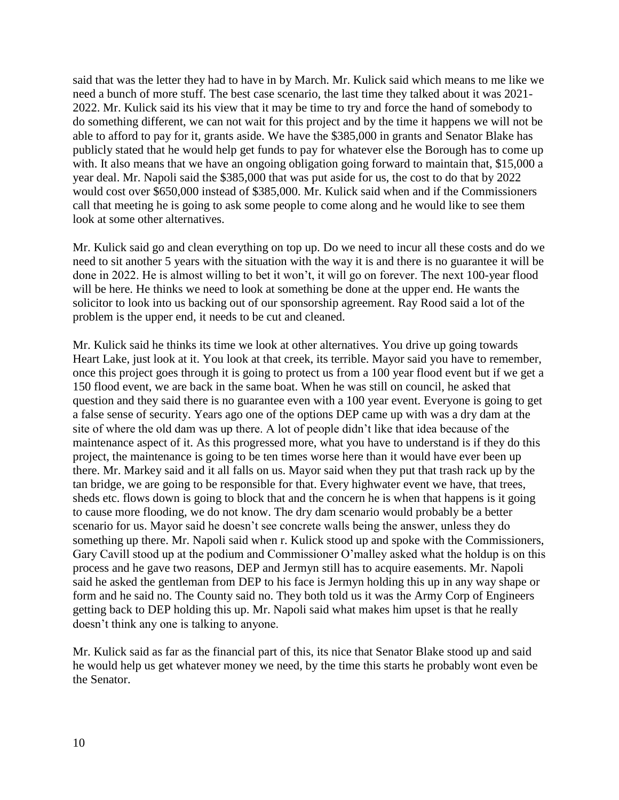said that was the letter they had to have in by March. Mr. Kulick said which means to me like we need a bunch of more stuff. The best case scenario, the last time they talked about it was 2021- 2022. Mr. Kulick said its his view that it may be time to try and force the hand of somebody to do something different, we can not wait for this project and by the time it happens we will not be able to afford to pay for it, grants aside. We have the \$385,000 in grants and Senator Blake has publicly stated that he would help get funds to pay for whatever else the Borough has to come up with. It also means that we have an ongoing obligation going forward to maintain that, \$15,000 a year deal. Mr. Napoli said the \$385,000 that was put aside for us, the cost to do that by 2022 would cost over \$650,000 instead of \$385,000. Mr. Kulick said when and if the Commissioners call that meeting he is going to ask some people to come along and he would like to see them look at some other alternatives.

Mr. Kulick said go and clean everything on top up. Do we need to incur all these costs and do we need to sit another 5 years with the situation with the way it is and there is no guarantee it will be done in 2022. He is almost willing to bet it won't, it will go on forever. The next 100-year flood will be here. He thinks we need to look at something be done at the upper end. He wants the solicitor to look into us backing out of our sponsorship agreement. Ray Rood said a lot of the problem is the upper end, it needs to be cut and cleaned.

Mr. Kulick said he thinks its time we look at other alternatives. You drive up going towards Heart Lake, just look at it. You look at that creek, its terrible. Mayor said you have to remember, once this project goes through it is going to protect us from a 100 year flood event but if we get a 150 flood event, we are back in the same boat. When he was still on council, he asked that question and they said there is no guarantee even with a 100 year event. Everyone is going to get a false sense of security. Years ago one of the options DEP came up with was a dry dam at the site of where the old dam was up there. A lot of people didn't like that idea because of the maintenance aspect of it. As this progressed more, what you have to understand is if they do this project, the maintenance is going to be ten times worse here than it would have ever been up there. Mr. Markey said and it all falls on us. Mayor said when they put that trash rack up by the tan bridge, we are going to be responsible for that. Every highwater event we have, that trees, sheds etc. flows down is going to block that and the concern he is when that happens is it going to cause more flooding, we do not know. The dry dam scenario would probably be a better scenario for us. Mayor said he doesn't see concrete walls being the answer, unless they do something up there. Mr. Napoli said when r. Kulick stood up and spoke with the Commissioners, Gary Cavill stood up at the podium and Commissioner O'malley asked what the holdup is on this process and he gave two reasons, DEP and Jermyn still has to acquire easements. Mr. Napoli said he asked the gentleman from DEP to his face is Jermyn holding this up in any way shape or form and he said no. The County said no. They both told us it was the Army Corp of Engineers getting back to DEP holding this up. Mr. Napoli said what makes him upset is that he really doesn't think any one is talking to anyone.

Mr. Kulick said as far as the financial part of this, its nice that Senator Blake stood up and said he would help us get whatever money we need, by the time this starts he probably wont even be the Senator.